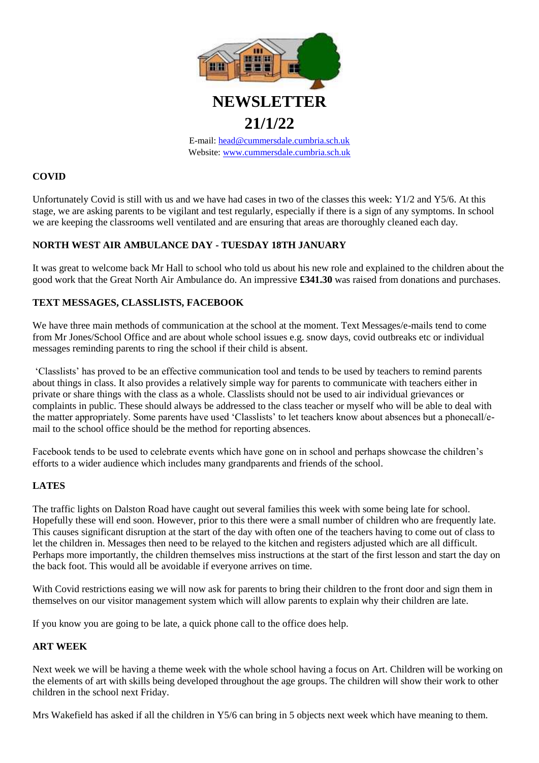

**21/1/22**

E-mail: [head@cummersdale.cumbria.sch.uk](mailto:head@cummersdale.cumbria.sch.uk) Website: [www.cummersdale.cumbria.sch.uk](http://www.cummersdale.cumbria.sch.uk/)

# **COVID**

Unfortunately Covid is still with us and we have had cases in two of the classes this week: Y1/2 and Y5/6. At this stage, we are asking parents to be vigilant and test regularly, especially if there is a sign of any symptoms. In school we are keeping the classrooms well ventilated and are ensuring that areas are thoroughly cleaned each day.

## **NORTH WEST AIR AMBULANCE DAY - TUESDAY 18TH JANUARY**

It was great to welcome back Mr Hall to school who told us about his new role and explained to the children about the good work that the Great North Air Ambulance do. An impressive **£341.30** was raised from donations and purchases.

## **TEXT MESSAGES, CLASSLISTS, FACEBOOK**

We have three main methods of communication at the school at the moment. Text Messages/e-mails tend to come from Mr Jones/School Office and are about whole school issues e.g. snow days, covid outbreaks etc or individual messages reminding parents to ring the school if their child is absent.

'Classlists' has proved to be an effective communication tool and tends to be used by teachers to remind parents about things in class. It also provides a relatively simple way for parents to communicate with teachers either in private or share things with the class as a whole. Classlists should not be used to air individual grievances or complaints in public. These should always be addressed to the class teacher or myself who will be able to deal with the matter appropriately. Some parents have used 'Classlists' to let teachers know about absences but a phonecall/email to the school office should be the method for reporting absences.

Facebook tends to be used to celebrate events which have gone on in school and perhaps showcase the children's efforts to a wider audience which includes many grandparents and friends of the school.

#### **LATES**

The traffic lights on Dalston Road have caught out several families this week with some being late for school. Hopefully these will end soon. However, prior to this there were a small number of children who are frequently late. This causes significant disruption at the start of the day with often one of the teachers having to come out of class to let the children in. Messages then need to be relayed to the kitchen and registers adjusted which are all difficult. Perhaps more importantly, the children themselves miss instructions at the start of the first lesson and start the day on the back foot. This would all be avoidable if everyone arrives on time.

With Covid restrictions easing we will now ask for parents to bring their children to the front door and sign them in themselves on our visitor management system which will allow parents to explain why their children are late.

If you know you are going to be late, a quick phone call to the office does help.

#### **ART WEEK**

Next week we will be having a theme week with the whole school having a focus on Art. Children will be working on the elements of art with skills being developed throughout the age groups. The children will show their work to other children in the school next Friday.

Mrs Wakefield has asked if all the children in Y5/6 can bring in 5 objects next week which have meaning to them.